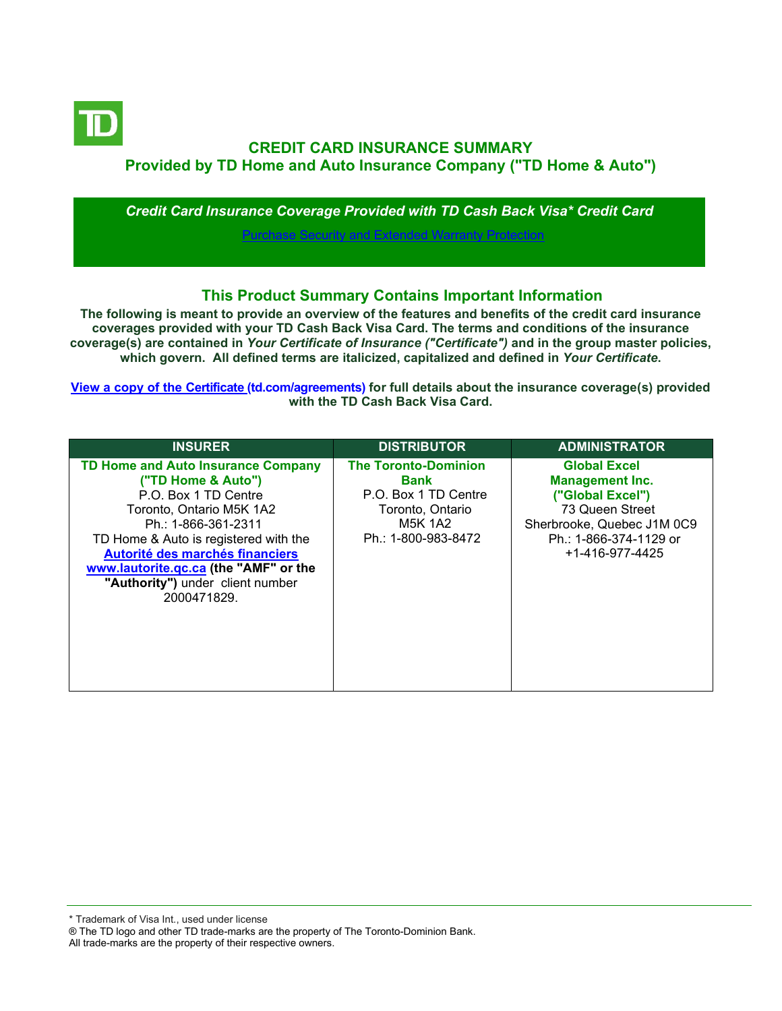

# **CREDIT CARD INSURANCE SUMMARY Provided by TD Home and Auto Insurance Company ("TD Home & Auto")**

*Credit Card Insurance Coverage Provided with TD Cash Back Visa\* Credit Card*

[Purchase Security and Extended Warranty Protection](#page-2-0)

## **This Product Summary Contains Important Information**

**The following is meant to provide an overview of the features and benefits of the credit card insurance coverages provided with your TD Cash Back Visa Card. The terms and conditions of the insurance coverage(s) are contained in** *Your Certificate of Insurance ("Certificate")* **and in the group master policies, which govern. All defined terms are italicized, capitalized and defined in** *Your Certificate***.**

**[View a copy of the Certificate](https://www.td.com/ca/en/personal-banking/how-to/manage-my-credit-card/getting-started/?tdtab=4) (td.com/agreements) for full details about the insurance coverage(s) provided with the TD Cash Back Visa Card.**

| <b>INSURER</b>                                                                                                                                                                                                                                                                                                     | <b>DISTRIBUTOR</b>                                                                                                              | <b>ADMINISTRATOR</b>                                                                                                                                            |
|--------------------------------------------------------------------------------------------------------------------------------------------------------------------------------------------------------------------------------------------------------------------------------------------------------------------|---------------------------------------------------------------------------------------------------------------------------------|-----------------------------------------------------------------------------------------------------------------------------------------------------------------|
| <b>TD Home and Auto Insurance Company</b><br>("TD Home & Auto")<br>P.O. Box 1 TD Centre<br>Toronto, Ontario M5K 1A2<br>Ph.: 1-866-361-2311<br>TD Home & Auto is registered with the<br>Autorité des marchés financiers<br>www.lautorite.gc.ca (the "AMF" or the<br>"Authority") under client number<br>2000471829. | <b>The Toronto-Dominion</b><br><b>Bank</b><br>P.O. Box 1 TD Centre<br>Toronto, Ontario<br><b>M5K 1A2</b><br>Ph.: 1-800-983-8472 | <b>Global Excel</b><br><b>Management Inc.</b><br>("Global Excel")<br>73 Queen Street<br>Sherbrooke, Quebec J1M 0C9<br>Ph.: 1-866-374-1129 or<br>+1-416-977-4425 |

\* Trademark of Visa Int., used under license

All trade-marks are the property of their respective owners.

<sup>®</sup> The TD logo and other TD trade-marks are the property of The Toronto-Dominion Bank.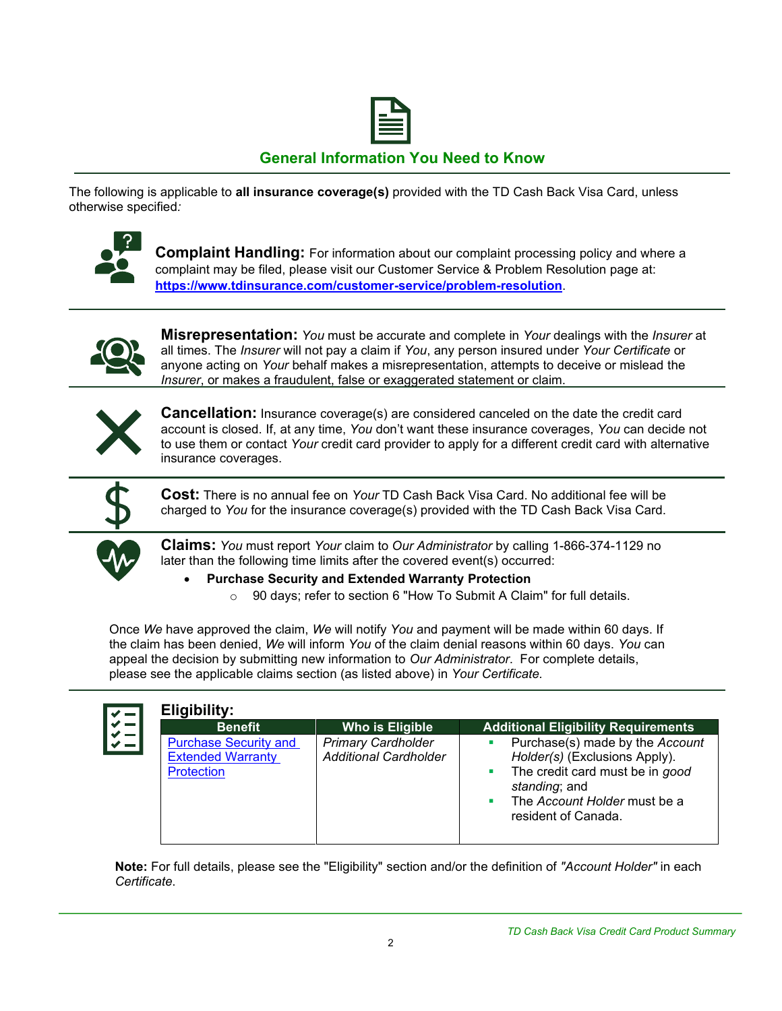

# **General Information You Need to Know**

The following is applicable to **all insurance coverage(s)** provided with the TD Cash Back Visa Card, unless otherwise specified*:*



**Complaint Handling:** For information about our complaint processing policy and where a complaint may be filed, please visit our Customer Service & Problem Resolution page at: **<https://www.tdinsurance.com/customer-service/problem-resolution>**.



**Misrepresentation:** *You* must be accurate and complete in *Your* dealings with the *Insurer* at all times. The *Insurer* will not pay a claim if *You*, any person insured under *Your Certificate* or anyone acting on *Your* behalf makes a misrepresentation, attempts to deceive or mislead the *Insurer*, or makes a fraudulent, false or exaggerated statement or claim.



**Cancellation:** Insurance coverage(s) are considered canceled on the date the credit card account is closed. If, at any time, *You* don't want these insurance coverages, *You* can decide not to use them or contact *Your* credit card provider to apply for a different credit card with alternative insurance coverages.



**Cost:** There is no annual fee on *Your* TD Cash Back Visa Card. No additional fee will be charged to *You* for the insurance coverage(s) provided with the TD Cash Back Visa Card.



**Claims:** *You* must report *Your* claim to *Our Administrator* by calling 1-866-374-1129 no later than the following time limits after the covered event(s) occurred:

#### • **Purchase Security and Extended Warranty Protection**

o 90 days; refer to section 6 "How To Submit A Claim" for full details.

Once *We* have approved the claim, *We* will notify *You* and payment will be made within 60 days. If the claim has been denied, *We* will inform *You* of the claim denial reasons within 60 days. *You* can appeal the decision by submitting new information to *Our Administrator*. For complete details, please see the applicable claims section (as listed above) in *Your Certificate.*

| <b>Benefit</b>                                                                | <b>Who is Eligible</b>                                    | <b>Additional Eligibility Requirements</b>                                                                                                                                                                   |
|-------------------------------------------------------------------------------|-----------------------------------------------------------|--------------------------------------------------------------------------------------------------------------------------------------------------------------------------------------------------------------|
| <b>Purchase Security and</b><br><b>Extended Warranty</b><br><b>Protection</b> | <b>Primary Cardholder</b><br><b>Additional Cardholder</b> | Purchase(s) made by the Account<br>$\mathcal{L}_{\mathcal{A}}$<br>Holder(s) (Exclusions Apply).<br>• The credit card must be in good<br>standing; and<br>The Account Holder must be a<br>resident of Canada. |

**Note:** For full details, please see the "Eligibility" section and/or the definition of *"Account Holder"* in each *Certificate*.